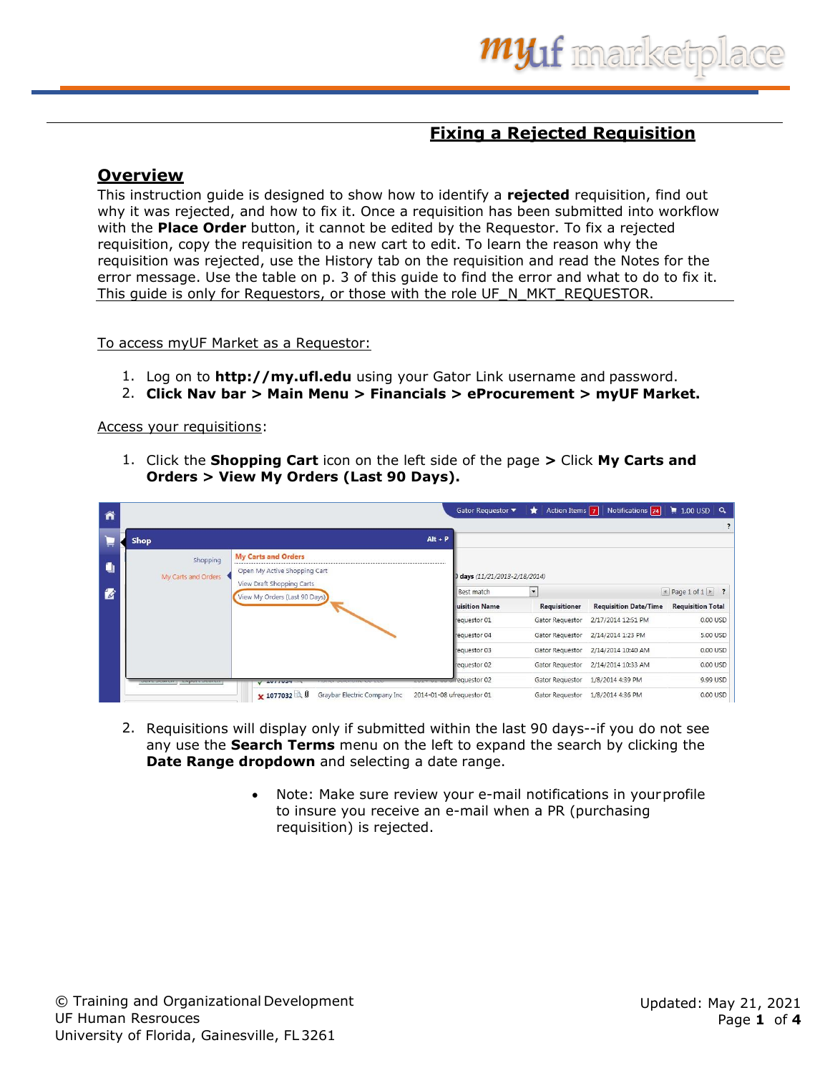## **Fixing a Rejected Requisition**

## **Overview**

This instruction guide is designed to show how to identify a **rejected** requisition, find out why it was rejected, and how to fix it. Once a requisition has been submitted into workflow with the **Place Order** button, it cannot be edited by the Requestor. To fix a rejected requisition, copy the requisition to a new cart to edit. To learn the reason why the requisition was rejected, use the History tab on the requisition and read the Notes for the error message. Use the table on p. 3 of this guide to find the error and what to do to fix it. This guide is only for Requestors, or those with the role UF\_N\_MKT\_REQUESTOR.

To access myUF Market as a Requestor:

- 1. Log on to **[http://my.ufl.edu](http://my.ufl.edu/)** using your Gator Link username and password.
- 2. **Click Nav bar > Main Menu > Financials > eProcurement > myUF Market.**

Access your requisitions:

1. Click the **Shopping Cart** icon on the left side of the page **>** Click **My Carts and Orders > View My Orders (Last 90 Days).**

| ⋒        |                                                                                               |                                 | Gator Requestor $\blacktriangledown$ | Action Items $\boxed{7}$<br>$\star$ | Notifications 24             | $\parallel$ 1.00 USD Q                        |
|----------|-----------------------------------------------------------------------------------------------|---------------------------------|--------------------------------------|-------------------------------------|------------------------------|-----------------------------------------------|
| $\equiv$ | <b>Shop</b>                                                                                   | $Alt + P$                       |                                      |                                     |                              |                                               |
| ٠        | <b>My Carts and Orders</b><br>Shopping<br>Open My Active Shopping Cart<br>My Carts and Orders |                                 | days (11/21/2013-2/18/2014)          |                                     |                              |                                               |
| 酱        | View Draft Shopping Carts<br>View My Orders (Last 90 Days)                                    |                                 | Best match                           | $\vert$                             |                              | $\blacksquare$ Page 1 of 1 $\triangleright$ ? |
|          |                                                                                               |                                 | uisition Name                        | Requisitioner                       | <b>Requisition Date/Time</b> | <b>Requisition Total</b>                      |
|          |                                                                                               |                                 | requestor 01                         | Gator Requestor                     | 2/17/2014 12:51 PM           | 0.00 USD                                      |
|          |                                                                                               |                                 | requestor 04                         | Gator Requestor                     | 2/14/2014 1:23 PM            | 5.00 USD                                      |
|          |                                                                                               |                                 | requestor 03                         | Gator Requestor                     | 2/14/2014 10:40 AM           | 0.00 USD                                      |
|          |                                                                                               |                                 | requestor 02                         | Gator Requestor                     | 2/14/2014 10:33 AM           | 0.00 USD                                      |
|          | next nominal public needed<br>V AUTTUON                                                       | <b>COLOR OF OUTREQUESTOR 02</b> |                                      | Gator Requestor                     | 1/8/2014 4:39 PM             | 9.99 USD                                      |
|          | Graybar Electric Company Inc<br>★ 1077032                                                     | 2014-01-08 ufrequestor 01       |                                      | Gator Requestor                     | 1/8/2014 4:36 PM             | 0.00 USD                                      |

- 2. Requisitions will display only if submitted within the last 90 days--if you do not see any use the **Search Terms** menu on the left to expand the search by clicking the **Date Range dropdown** and selecting a date range.
	- Note: Make sure review your e-mail notifications in yourprofile to insure you receive an e-mail when a PR (purchasing requisition) is rejected.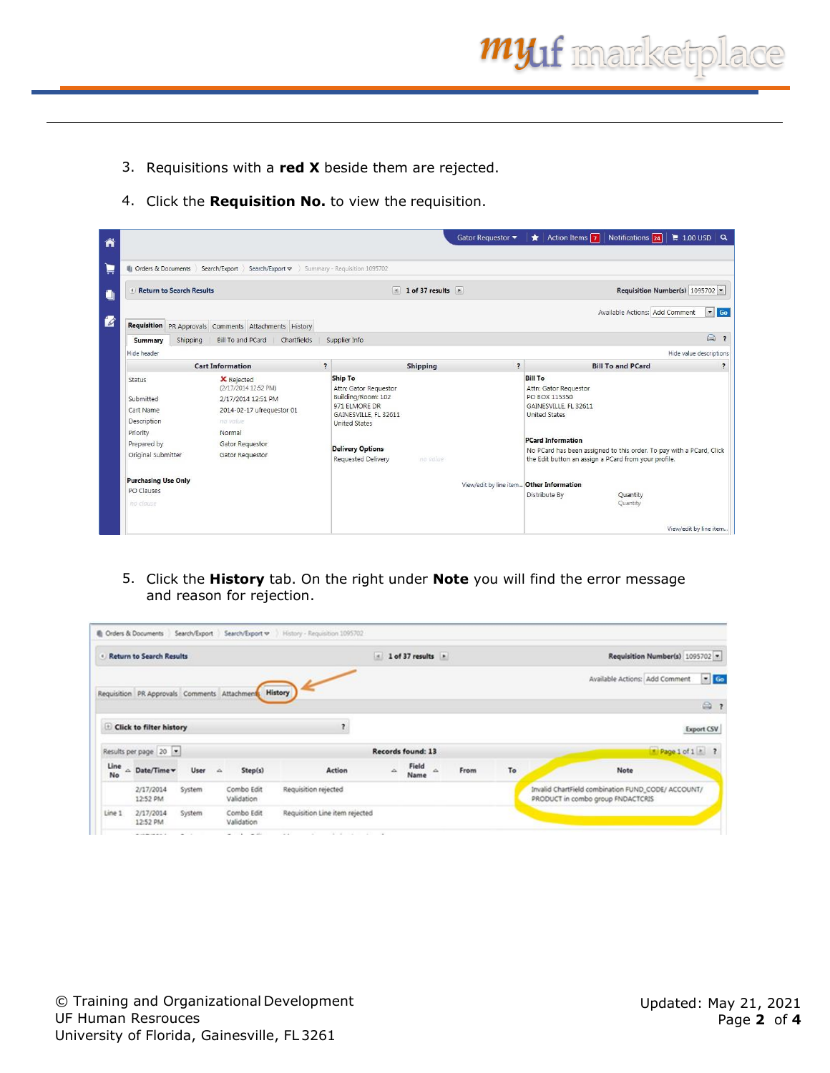- 3. Requisitions with a **red X** beside them are rejected.
- 4. Click the **Requisition No.** to view the requisition.

|                            |                                                       |                                         |                                   | Gator Requestor ▼                        | Action Items 7<br>*                                                                                                          | Notifications 24               | $\frac{1}{2}$ 1.00 USD Q        |
|----------------------------|-------------------------------------------------------|-----------------------------------------|-----------------------------------|------------------------------------------|------------------------------------------------------------------------------------------------------------------------------|--------------------------------|---------------------------------|
| Orders & Documents         | Search/Export Search/Export $\triangledown$           | Summary - Requisition 1095702           |                                   |                                          |                                                                                                                              |                                |                                 |
| Return to Search Results   |                                                       |                                         | $\vert$ 1 of 37 results $\vert$ + |                                          |                                                                                                                              |                                | Requisition Number(s) 1095702 - |
|                            | Requisition PR Approvals Comments Attachments History |                                         |                                   |                                          |                                                                                                                              | Available Actions: Add Comment |                                 |
| Shipping<br>Summary        | Chartfields<br>Bill To and PCard                      | Supplier Info                           |                                   |                                          |                                                                                                                              |                                | 0<br>$\overline{\mathbf{z}}$    |
| Hide header                |                                                       |                                         |                                   |                                          |                                                                                                                              |                                | Hide value descriptions         |
|                            | <b>Cart Information</b>                               | $\overline{\mathbf{z}}$                 | <b>Shipping</b>                   | $\overline{\mathbf{z}}$                  |                                                                                                                              | <b>Bill To and PCard</b>       | $\overline{\cdot}$              |
| Status                     | <b>X</b> Rejected<br>(2/17/2014 12:52 PM)             | <b>Ship To</b><br>Attn: Gator Requestor |                                   |                                          | <b>Bill To</b><br>Attn: Gator Requestor                                                                                      |                                |                                 |
| Submitted                  | 2/17/2014 12:51 PM                                    | Building/Room: 102                      |                                   |                                          | PO BOX 115350                                                                                                                |                                |                                 |
| Cart Name                  | 2014-02-17 ufrequestor 01                             | 971 FLMORE DR<br>GAINESVILLE, FL 32611  |                                   |                                          | GAINESVILLE, FL 32611<br><b>United States</b>                                                                                |                                |                                 |
| Description                | no value.                                             | <b>United States</b>                    |                                   |                                          |                                                                                                                              |                                |                                 |
| Priority                   | Normal                                                |                                         |                                   |                                          |                                                                                                                              |                                |                                 |
| Prepared by                | Gator Requestor                                       | <b>Delivery Options</b>                 |                                   |                                          | <b>PCard Information</b>                                                                                                     |                                |                                 |
| Original Submitter         | Gator Requestor                                       | Requested Delivery                      | no value                          |                                          | No PCard has been assigned to this order. To pay with a PCard, Click<br>the Edit button an assign a PCard from your profile. |                                |                                 |
| <b>Purchasing Use Only</b> |                                                       |                                         |                                   | View/edit by line item Other Information |                                                                                                                              |                                |                                 |
| PO Clauses<br>no clause    |                                                       |                                         |                                   |                                          | Distribute By                                                                                                                | Quantity<br>Quantity           |                                 |
|                            |                                                       |                                         |                                   |                                          |                                                                                                                              |                                |                                 |
|                            |                                                       |                                         |                                   |                                          |                                                                                                                              |                                | View/edit by line item          |

5. Click the **History** tab. On the right under **Note** you will find the error message and reason for rejection.

|            | <b>Return to Search Results</b>               |        |   |                          |                                | isi.              | 1 of 37 results |          |      |    | Requisition Number(s) 1095702 -                                                         |                |
|------------|-----------------------------------------------|--------|---|--------------------------|--------------------------------|-------------------|-----------------|----------|------|----|-----------------------------------------------------------------------------------------|----------------|
|            | Requisition PR Approvals Comments Attachments |        |   |                          | <b>History</b>                 |                   |                 |          |      |    | Available Actions: Add Comment                                                          | G <sub>o</sub> |
|            |                                               |        |   |                          |                                |                   |                 |          |      |    |                                                                                         | ◎ ?            |
|            | Click to filter history                       |        |   |                          | $\overline{\phantom{a}}$       |                   |                 |          |      |    |                                                                                         | Export CSV     |
|            | Results per page 20 -                         |        |   |                          |                                | Records found: 13 |                 |          |      |    | Page 1 of 1 h ?                                                                         |                |
| Line<br>No | △ Date/Time v                                 | User   | A | Step(s)                  | Action                         | $\Delta$          | Field<br>Name   | $\Delta$ | From | To | Note                                                                                    |                |
|            | 2/17/2014<br>12:52 PM                         | System |   | Combo Edit<br>Validation | Requisition rejected           |                   |                 |          |      |    | Invalid ChartField combination FUND_CODE/ ACCOUNT/<br>PRODUCT in combo group FNDACTCRIS |                |
| Line 1     | 2/17/2014                                     | System |   | Combo Edit               | Requisition Line item rejected |                   |                 |          |      |    |                                                                                         |                |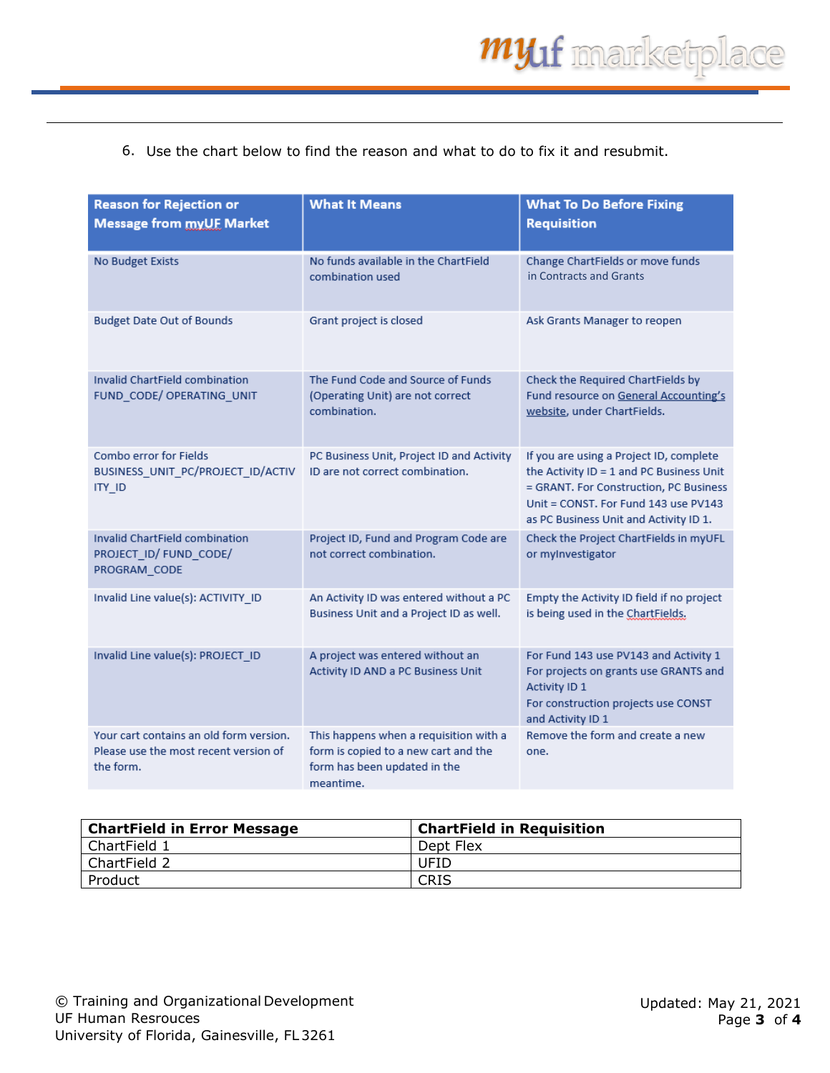## 6. Use the chart below to find the reason and what to do to fix it and resubmit.

| <b>Reason for Rejection or</b><br><b>Message from myUF Market</b>                             | <b>What It Means</b>                                                                                                        | <b>What To Do Before Fixing</b><br><b>Requisition</b>                                                                                                                                                           |
|-----------------------------------------------------------------------------------------------|-----------------------------------------------------------------------------------------------------------------------------|-----------------------------------------------------------------------------------------------------------------------------------------------------------------------------------------------------------------|
| No Budget Exists                                                                              | No funds available in the ChartField<br>combination used                                                                    | Change ChartFields or move funds<br>in Contracts and Grants                                                                                                                                                     |
| <b>Budget Date Out of Bounds</b>                                                              | Grant project is closed                                                                                                     | Ask Grants Manager to reopen                                                                                                                                                                                    |
| Invalid ChartField combination<br>FUND_CODE/ OPERATING_UNIT                                   | The Fund Code and Source of Funds<br>(Operating Unit) are not correct<br>combination.                                       | Check the Required ChartFields by<br>Fund resource on General Accounting's<br>website, under ChartFields.                                                                                                       |
| Combo error for Fields<br>BUSINESS_UNIT_PC/PROJECT_ID/ACTIV<br>ITY_ID                         | PC Business Unit, Project ID and Activity<br>ID are not correct combination.                                                | If you are using a Project ID, complete<br>the Activity ID = 1 and PC Business Unit<br>= GRANT. For Construction, PC Business<br>Unit = CONST. For Fund 143 use PV143<br>as PC Business Unit and Activity ID 1. |
| Invalid ChartField combination<br>PROJECT ID/ FUND CODE/<br>PROGRAM_CODE                      | Project ID, Fund and Program Code are<br>not correct combination.                                                           | Check the Project ChartFields in myUFL<br>or mylnvestigator                                                                                                                                                     |
| Invalid Line value(s): ACTIVITY_ID                                                            | An Activity ID was entered without a PC<br>Business Unit and a Project ID as well.                                          | Empty the Activity ID field if no project<br>is being used in the ChartFields.                                                                                                                                  |
| Invalid Line value(s): PROJECT_ID                                                             | A project was entered without an<br>Activity ID AND a PC Business Unit                                                      | For Fund 143 use PV143 and Activity 1<br>For projects on grants use GRANTS and<br>Activity ID 1<br>For construction projects use CONST<br>and Activity ID 1                                                     |
| Your cart contains an old form version.<br>Please use the most recent version of<br>the form. | This happens when a requisition with a<br>form is copied to a new cart and the<br>form has been updated in the<br>meantime. | Remove the form and create a new<br>one.                                                                                                                                                                        |

| <b>ChartField in Error Message</b> | <b>ChartField in Requisition</b> |
|------------------------------------|----------------------------------|
| l ChartField 1                     | Dept Flex                        |
| l ChartField 2                     | UFID                             |
| Product                            | CRIS                             |